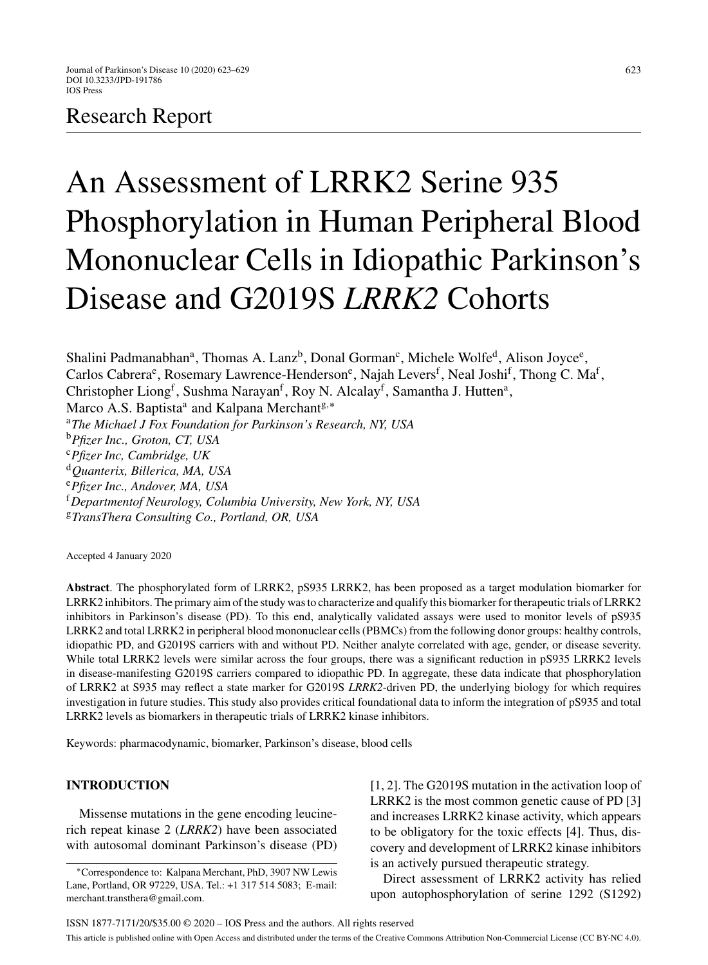# Research Report

# An Assessment of LRRK2 Serine 935 Phosphorylation in Human Peripheral Blood Mononuclear Cells in Idiopathic Parkinson's Disease and G2019S *LRRK2* Cohorts

Shalini Padmanabhan<sup>a</sup>, Thomas A. Lanz<sup>b</sup>, Donal Gorman<sup>c</sup>, Michele Wolfe<sup>d</sup>, Alison Joyce<sup>e</sup>, Carlos Cabrera<sup>e</sup>, Rosemary Lawrence-Henderson<sup>e</sup>, Najah Levers<sup>f</sup>, Neal Joshi<sup>f</sup>, Thong C. Ma<sup>f</sup>, Christopher Liong<sup>f</sup>, Sushma Narayan<sup>f</sup>, Roy N. Alcalay<sup>f</sup>, Samantha J. Hutten<sup>a</sup>, Marco A.S. Baptista<sup>a</sup> and Kalpana Merchant<sup>g,\*</sup> <sup>a</sup>*The Michael J Fox Foundation for Parkinson's Research, NY, USA* <sup>b</sup>*Pfizer Inc., Groton, CT, USA* <sup>c</sup>*Pfizer Inc, Cambridge, UK* <sup>d</sup>*Quanterix, Billerica, MA, USA* <sup>e</sup>*Pfizer Inc., Andover, MA, USA* <sup>f</sup>*Departmentof Neurology, Columbia University, New York, NY, USA*

<sup>g</sup>*TransThera Consulting Co., Portland, OR, USA*

Accepted 4 January 2020

**Abstract**. The phosphorylated form of LRRK2, pS935 LRRK2, has been proposed as a target modulation biomarker for LRRK2 inhibitors. The primary aim of the study was to characterize and qualify this biomarker for therapeutic trials of LRRK2 inhibitors in Parkinson's disease (PD). To this end, analytically validated assays were used to monitor levels of pS935 LRRK2 and total LRRK2 in peripheral blood mononuclear cells (PBMCs) from the following donor groups: healthy controls, idiopathic PD, and G2019S carriers with and without PD. Neither analyte correlated with age, gender, or disease severity. While total LRRK2 levels were similar across the four groups, there was a significant reduction in pS935 LRRK2 levels in disease-manifesting G2019S carriers compared to idiopathic PD. In aggregate, these data indicate that phosphorylation of LRRK2 at S935 may reflect a state marker for G2019S *LRRK2*-driven PD, the underlying biology for which requires investigation in future studies. This study also provides critical foundational data to inform the integration of pS935 and total LRRK2 levels as biomarkers in therapeutic trials of LRRK2 kinase inhibitors.

Keywords: pharmacodynamic, biomarker, Parkinson's disease, blood cells

# **INTRODUCTION**

Missense mutations in the gene encoding leucinerich repeat kinase 2 (*LRRK2*) have been associated with autosomal dominant Parkinson's disease (PD) [1, 2]. The G2019S mutation in the activation loop of LRRK2 is the most common genetic cause of PD [3] and increases LRRK2 kinase activity, which appears to be obligatory for the toxic effects [4]. Thus, discovery and development of LRRK2 kinase inhibitors is an actively pursued therapeutic strategy.

Direct assessment of LRRK2 activity has relied upon autophosphorylation of serine 1292 (S1292)

<sup>∗</sup>Correspondence to: Kalpana Merchant, PhD, 3907 NW Lewis Lane, Portland, OR 97229, USA. Tel.: +1 317 514 5083; E-mail: [merchant.transthera@gmail.com](mailto:merchant.transthera@gmail.com).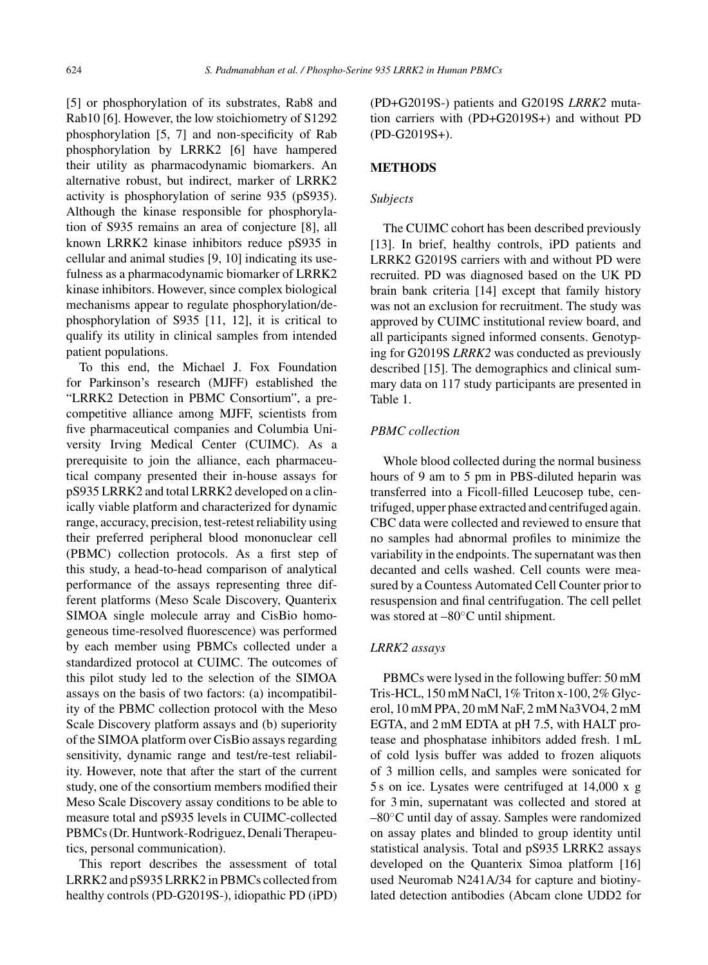[5] or phosphorylation of its substrates, Rab8 and Rab10 [6]. However, the low stoichiometry of S1292 phosphorylation [5, 7] and non-specificity of Rab phosphorylation by LRRK2 [6] have hampered their utility as pharmacodynamic biomarkers. An alternative robust, but indirect, marker of LRRK2 activity is phosphorylation of serine 935 (pS935). Although the kinase responsible for phosphorylation of S935 remains an area of conjecture [8], all known LRRK2 kinase inhibitors reduce pS935 in cellular and animal studies [9, 10] indicating its usefulness as a pharmacodynamic biomarker of LRRK2 kinase inhibitors. However, since complex biological mechanisms appear to regulate phosphorylation/dephosphorylation of S935 [11, 12], it is critical to qualify its utility in clinical samples from intended patient populations.

To this end, the Michael J. Fox Foundation for Parkinson's research (MJFF) established the "LRRK2 Detection in PBMC Consortium", a precompetitive alliance among MJFF, scientists from five pharmaceutical companies and Columbia University Irving Medical Center (CUIMC). As a prerequisite to join the alliance, each pharmaceutical company presented their in-house assays for pS935 LRRK2 and total LRRK2 developed on a clinically viable platform and characterized for dynamic range, accuracy, precision, test-retest reliability using their preferred peripheral blood mononuclear cell (PBMC) collection protocols. As a first step of this study, a head-to-head comparison of analytical performance of the assays representing three different platforms (Meso Scale Discovery, Quanterix SIMOA single molecule array and CisBio homogeneous time-resolved fluorescence) was performed by each member using PBMCs collected under a standardized protocol at CUIMC. The outcomes of this pilot study led to the selection of the SIMOA assays on the basis of two factors: (a) incompatibility of the PBMC collection protocol with the Meso Scale Discovery platform assays and (b) superiority of the SIMOA platform over CisBio assays regarding sensitivity, dynamic range and test/re-test reliability. However, note that after the start of the current study, one of the consortium members modified their Meso Scale Discovery assay conditions to be able to measure total and pS935 levels in CUIMC-collected PBMCs (Dr. Huntwork-Rodriguez, Denali Therapeutics, personal communication).

This report describes the assessment of total LRRK2 and pS935 LRRK2 in PBMCs collected from healthy controls (PD-G2019S-), idiopathic PD (iPD) (PD+G2019S-) patients and G2019S *LRRK2* mutation carriers with (PD+G2019S+) and without PD (PD-G2019S+).

# **METHODS**

# *Subjects*

The CUIMC cohort has been described previously [13]. In brief, healthy controls, iPD patients and LRRK2 G2019S carriers with and without PD were recruited. PD was diagnosed based on the UK PD brain bank criteria [14] except that family history was not an exclusion for recruitment. The study was approved by CUIMC institutional review board, and all participants signed informed consents. Genotyping for G2019S *LRRK2* was conducted as previously described [15]. The demographics and clinical summary data on 117 study participants are presented in Table 1.

# *PBMC collection*

Whole blood collected during the normal business hours of 9 am to 5 pm in PBS-diluted heparin was transferred into a Ficoll-filled Leucosep tube, centrifuged, upper phase extracted and centrifuged again. CBC data were collected and reviewed to ensure that no samples had abnormal profiles to minimize the variability in the endpoints. The supernatant was then decanted and cells washed. Cell counts were measured by a Countess Automated Cell Counter prior to resuspension and final centrifugation. The cell pellet was stored at –80◦C until shipment.

#### *LRRK2 assays*

PBMCs were lysed in the following buffer: 50 mM Tris-HCL, 150 mM NaCl, 1% Triton x-100, 2% Glycerol, 10 mM PPA, 20 mM NaF, 2 mM Na3VO4, 2 mM EGTA, and 2 mM EDTA at pH 7.5, with HALT protease and phosphatase inhibitors added fresh. 1 mL of cold lysis buffer was added to frozen aliquots of 3 million cells, and samples were sonicated for 5 s on ice. Lysates were centrifuged at 14,000 x g for 3 min, supernatant was collected and stored at –80◦C until day of assay. Samples were randomized on assay plates and blinded to group identity until statistical analysis. Total and pS935 LRRK2 assays developed on the Quanterix Simoa platform [16] used Neuromab N241A/34 for capture and biotinylated detection antibodies (Abcam clone UDD2 for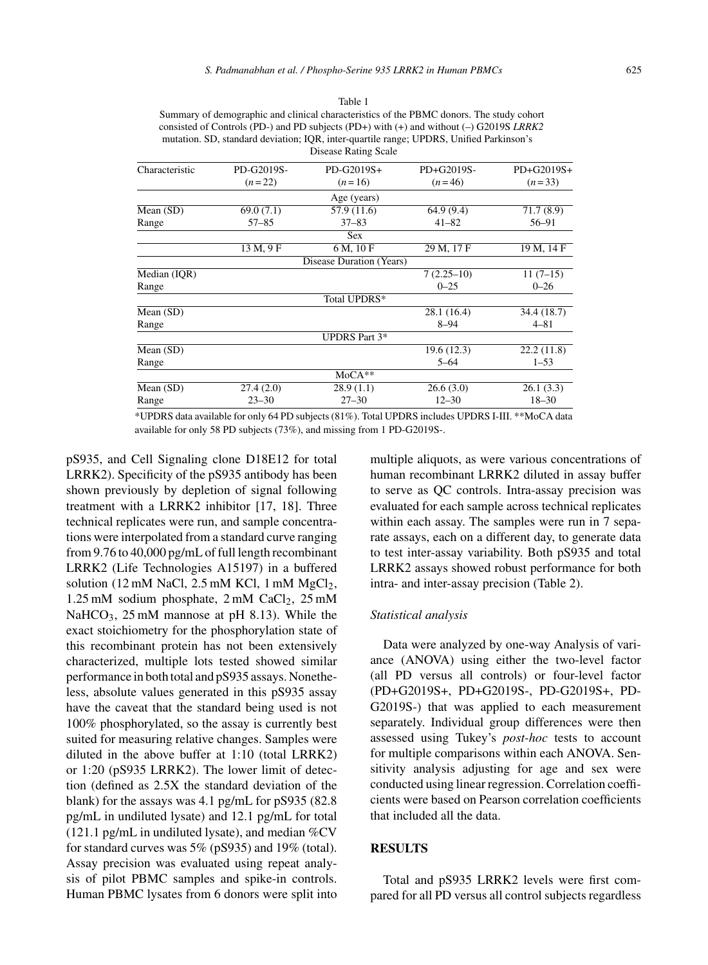Table 1

| Characteristic | PD-G2019S- | PD-G2019S+               | PD+G2019S-             | PD+G2019S+  |
|----------------|------------|--------------------------|------------------------|-------------|
|                | $(n=22)$   | $(n=16)$                 | $(n=46)$               | $(n=33)$    |
|                |            | Age (years)              |                        |             |
| Mean (SD)      | 69.0(7.1)  | 57.9 (11.6)              | 64.9(9.4)              | 71.7(8.9)   |
| Range          | $57 - 85$  | $37 - 83$                | $41 - 82$              | 56-91       |
|                |            | <b>Sex</b>               |                        |             |
|                | 13 M, 9 F  | 6 M, 10 F                | 29 M, 17 F             | 19 M, 14 F  |
|                |            | Disease Duration (Years) |                        |             |
| Median (IQR)   |            |                          | $7(2.25-10)$           | $11(7-15)$  |
| Range          |            |                          | $0 - 25$               | $0 - 26$    |
|                |            | Total UPDRS*             |                        |             |
| Mean (SD)      |            |                          | 28.1 (16.4)            | 34.4 (18.7) |
| Range          |            |                          | $8 - 94$               | $4 - 81$    |
|                |            | <b>UPDRS</b> Part 3*     |                        |             |
| Mean (SD)      |            |                          | 19.6(12.3)             | 22.2(11.8)  |
| Range          |            |                          | $5 - 64$               | $1 - 53$    |
|                |            | $MoCA**$                 |                        |             |
| Mean (SD)      | 27.4(2.0)  | 28.9(1.1)                | 26.6(3.0)              | 26.1(3.3)   |
| Range          | $23 - 30$  | $27 - 30$                | $12 - 30$<br>$18 - 30$ |             |
|                |            |                          |                        |             |

\*UPDRS data available for only 64 PD subjects (81%). Total UPDRS includes UPDRS I-III. \*\*MoCA data available for only 58 PD subjects (73%), and missing from 1 PD-G2019S-.

pS935, and Cell Signaling clone D18E12 for total LRRK2). Specificity of the pS935 antibody has been shown previously by depletion of signal following treatment with a LRRK2 inhibitor [17, 18]. Three technical replicates were run, and sample concentrations were interpolated from a standard curve ranging from 9.76 to 40,000 pg/mL of full length recombinant LRRK2 (Life Technologies A15197) in a buffered solution (12 mM NaCl, 2.5 mM KCl, 1 mM  $MgCl<sub>2</sub>$ ,  $1.25 \text{ mM}$  sodium phosphate,  $2 \text{ mM}$  CaCl<sub>2</sub>,  $25 \text{ mM}$ NaHCO<sub>3</sub>, 25 mM mannose at pH 8.13). While the exact stoichiometry for the phosphorylation state of this recombinant protein has not been extensively characterized, multiple lots tested showed similar performance in both total and pS935 assays. Nonetheless, absolute values generated in this pS935 assay have the caveat that the standard being used is not 100% phosphorylated, so the assay is currently best suited for measuring relative changes. Samples were diluted in the above buffer at 1:10 (total LRRK2) or 1:20 (pS935 LRRK2). The lower limit of detection (defined as 2.5X the standard deviation of the blank) for the assays was 4.1 pg/mL for pS935 (82.8 pg/mL in undiluted lysate) and 12.1 pg/mL for total (121.1 pg/mL in undiluted lysate), and median  $\%$ CV for standard curves was 5% (pS935) and 19% (total). Assay precision was evaluated using repeat analysis of pilot PBMC samples and spike-in controls. Human PBMC lysates from 6 donors were split into

multiple aliquots, as were various concentrations of human recombinant LRRK2 diluted in assay buffer to serve as QC controls. Intra-assay precision was evaluated for each sample across technical replicates within each assay. The samples were run in 7 separate assays, each on a different day, to generate data to test inter-assay variability. Both pS935 and total LRRK2 assays showed robust performance for both intra- and inter-assay precision (Table 2).

#### *Statistical analysis*

Data were analyzed by one-way Analysis of variance (ANOVA) using either the two-level factor (all PD versus all controls) or four-level factor (PD+G2019S+, PD+G2019S-, PD-G2019S+, PD-G2019S-) that was applied to each measurement separately. Individual group differences were then assessed using Tukey's *post-hoc* tests to account for multiple comparisons within each ANOVA. Sensitivity analysis adjusting for age and sex were conducted using linear regression. Correlation coefficients were based on Pearson correlation coefficients that included all the data.

#### **RESULTS**

Total and pS935 LRRK2 levels were first compared for all PD versus all control subjects regardless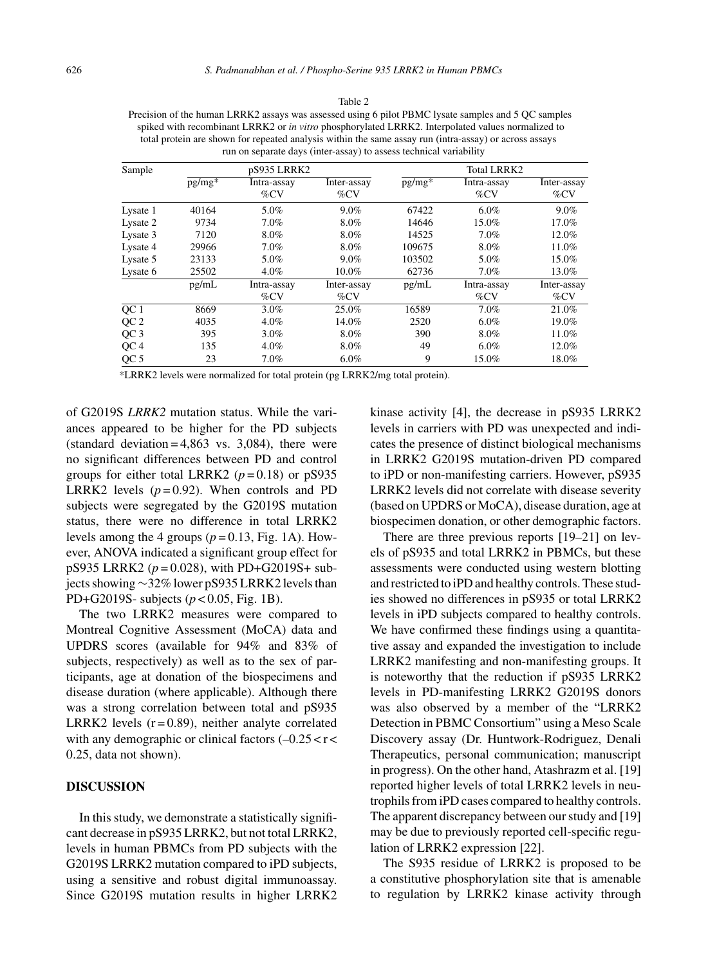Table 2

Precision of the human LRRK2 assays was assessed using 6 pilot PBMC lysate samples and 5 QC samples spiked with recombinant LRRK2 or *in vitro* phosphorylated LRRK2. Interpolated values normalized to total protein are shown for repeated analysis within the same assay run (intra-assay) or across assays run on separate days (inter-assay) to assess technical variability

| Sample          | pS935 LRRK2 |                        |                        | <b>Total LRRK2</b> |                        |                        |
|-----------------|-------------|------------------------|------------------------|--------------------|------------------------|------------------------|
|                 | $pg/mg*$    | Intra-assay<br>$\%$ CV | Inter-assay<br>$\%$ CV | $pg/mg*$           | Intra-assay<br>$\%$ CV | Inter-assay<br>$\%$ CV |
| Lysate 1        | 40164       | 5.0%                   | 9.0%                   | 67422              | $6.0\%$                | 9.0%                   |
| Lysate 2        | 9734        | 7.0%                   | 8.0%                   | 14646              | 15.0%                  | 17.0%                  |
| Lysate 3        | 7120        | 8.0%                   | 8.0%                   | 14525              | 7.0%                   | 12.0%                  |
| Lysate 4        | 29966       | 7.0%                   | 8.0%                   | 109675             | 8.0%                   | 11.0%                  |
| Lysate 5        | 23133       | 5.0%                   | 9.0%                   | 103502             | 5.0%                   | 15.0%                  |
| Lysate 6        | 25502       | 4.0%                   | 10.0%                  | 62736              | 7.0%                   | 13.0%                  |
|                 | pg/mL       | Intra-assay            | Inter-assay            | pg/mL              | Intra-assay            | Inter-assay            |
|                 |             | $\%$ CV                | $\%$ CV                |                    | $\%$ CV                | $\%$ CV                |
| OC <sub>1</sub> | 8669        | $3.0\%$                | 25.0%                  | 16589              | 7.0%                   | 21.0%                  |
| QC <sub>2</sub> | 4035        | 4.0%                   | 14.0%                  | 2520               | $6.0\%$                | 19.0%                  |
| QC <sub>3</sub> | 395         | $3.0\%$                | 8.0%                   | 390                | 8.0%                   | 11.0%                  |
| QC4             | 135         | 4.0%                   | 8.0%                   | 49                 | $6.0\%$                | 12.0%                  |
| QC <sub>5</sub> | 23          | 7.0%                   | $6.0\%$                | 9                  | 15.0%                  | 18.0%                  |

\*LRRK2 levels were normalized for total protein (pg LRRK2/mg total protein).

of G2019S *LRRK2* mutation status. While the variances appeared to be higher for the PD subjects (standard deviation  $= 4,863$  vs. 3,084), there were no significant differences between PD and control groups for either total LRRK2 ( $p = 0.18$ ) or pS935 LRRK2 levels  $(p=0.92)$ . When controls and PD subjects were segregated by the G2019S mutation status, there were no difference in total LRRK2 levels among the 4 groups  $(p=0.13, \text{Fig. 1A})$ . However, ANOVA indicated a significant group effect for pS935 LRRK2 (*p* = 0.028), with PD+G2019S+ subjects showing ∼32% lower pS935 LRRK2 levels than PD+G2019S- subjects (*p* < 0.05, Fig. 1B).

The two LRRK2 measures were compared to Montreal Cognitive Assessment (MoCA) data and UPDRS scores (available for 94% and 83% of subjects, respectively) as well as to the sex of participants, age at donation of the biospecimens and disease duration (where applicable). Although there was a strong correlation between total and pS935 LRRK2 levels  $(r=0.89)$ , neither analyte correlated with any demographic or clinical factors  $(-0.25 < r <$ 0.25, data not shown).

## **DISCUSSION**

In this study, we demonstrate a statistically significant decrease in pS935 LRRK2, but not total LRRK2, levels in human PBMCs from PD subjects with the G2019S LRRK2 mutation compared to iPD subjects, using a sensitive and robust digital immunoassay. Since G2019S mutation results in higher LRRK2 kinase activity [4], the decrease in pS935 LRRK2 levels in carriers with PD was unexpected and indicates the presence of distinct biological mechanisms in LRRK2 G2019S mutation-driven PD compared to iPD or non-manifesting carriers. However, pS935 LRRK2 levels did not correlate with disease severity (based on UPDRS or MoCA), disease duration, age at biospecimen donation, or other demographic factors.

There are three previous reports [19–21] on levels of pS935 and total LRRK2 in PBMCs, but these assessments were conducted using western blotting and restricted to iPD and healthy controls. These studies showed no differences in pS935 or total LRRK2 levels in iPD subjects compared to healthy controls. We have confirmed these findings using a quantitative assay and expanded the investigation to include LRRK2 manifesting and non-manifesting groups. It is noteworthy that the reduction if pS935 LRRK2 levels in PD-manifesting LRRK2 G2019S donors was also observed by a member of the "LRRK2 Detection in PBMC Consortium" using a Meso Scale Discovery assay (Dr. Huntwork-Rodriguez, Denali Therapeutics, personal communication; manuscript in progress). On the other hand, Atashrazm et al. [19] reported higher levels of total LRRK2 levels in neutrophils from iPD cases compared to healthy controls. The apparent discrepancy between our study and [19] may be due to previously reported cell-specific regulation of LRRK2 expression [22].

The S935 residue of LRRK2 is proposed to be a constitutive phosphorylation site that is amenable to regulation by LRRK2 kinase activity through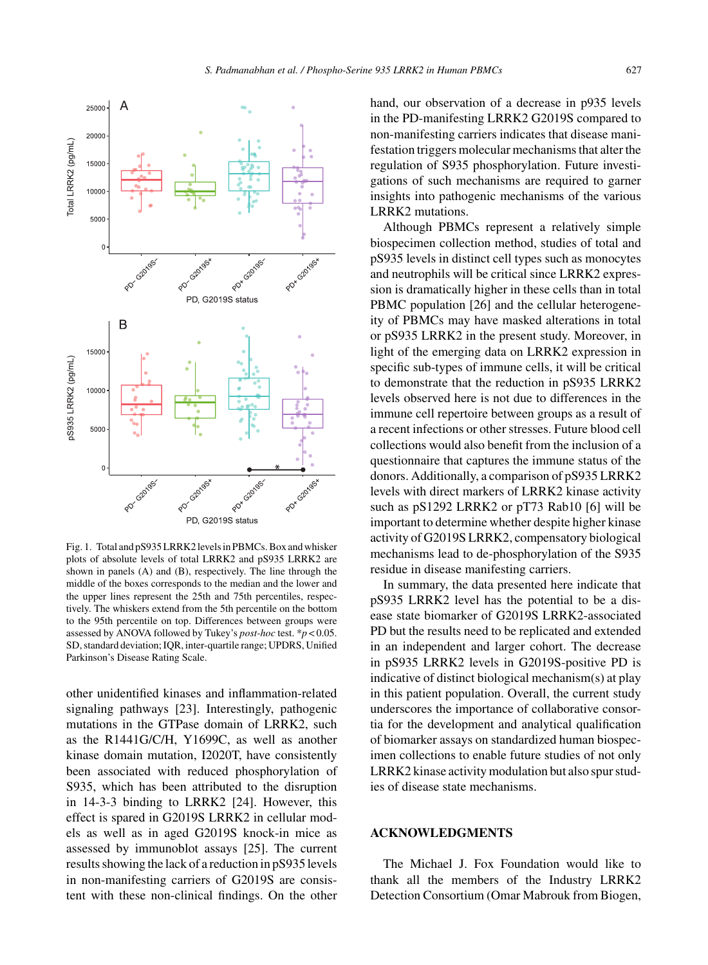

Fig. 1. Total and pS935 LRRK2 levels in PBMCs. Box and whisker plots of absolute levels of total LRRK2 and pS935 LRRK2 are shown in panels (A) and (B), respectively. The line through the middle of the boxes corresponds to the median and the lower and the upper lines represent the 25th and 75th percentiles, respectively. The whiskers extend from the 5th percentile on the bottom to the 95th percentile on top. Differences between groups were assessed by ANOVA followed by Tukey's *post-hoc* test. \**p* < 0.05. SD, standard deviation; IQR, inter-quartile range; UPDRS, Unified Parkinson's Disease Rating Scale.

other unidentified kinases and inflammation-related signaling pathways [23]. Interestingly, pathogenic mutations in the GTPase domain of LRRK2, such as the R1441G/C/H, Y1699C, as well as another kinase domain mutation, I2020T, have consistently been associated with reduced phosphorylation of S935, which has been attributed to the disruption in 14-3-3 binding to LRRK2 [24]. However, this effect is spared in G2019S LRRK2 in cellular models as well as in aged G2019S knock-in mice as assessed by immunoblot assays [25]. The current results showing the lack of a reduction in pS935 levels in non-manifesting carriers of G2019S are consistent with these non-clinical findings. On the other

hand, our observation of a decrease in p935 levels in the PD-manifesting LRRK2 G2019S compared to non-manifesting carriers indicates that disease manifestation triggers molecular mechanisms that alter the regulation of S935 phosphorylation. Future investigations of such mechanisms are required to garner insights into pathogenic mechanisms of the various LRRK2 mutations.

Although PBMCs represent a relatively simple biospecimen collection method, studies of total and pS935 levels in distinct cell types such as monocytes and neutrophils will be critical since LRRK2 expression is dramatically higher in these cells than in total PBMC population [26] and the cellular heterogeneity of PBMCs may have masked alterations in total or pS935 LRRK2 in the present study. Moreover, in light of the emerging data on LRRK2 expression in specific sub-types of immune cells, it will be critical to demonstrate that the reduction in pS935 LRRK2 levels observed here is not due to differences in the immune cell repertoire between groups as a result of a recent infections or other stresses. Future blood cell collections would also benefit from the inclusion of a questionnaire that captures the immune status of the donors. Additionally, a comparison of pS935 LRRK2 levels with direct markers of LRRK2 kinase activity such as pS1292 LRRK2 or pT73 Rab10 [6] will be important to determine whether despite higher kinase activity of G2019S LRRK2, compensatory biological mechanisms lead to de-phosphorylation of the S935 residue in disease manifesting carriers.

In summary, the data presented here indicate that pS935 LRRK2 level has the potential to be a disease state biomarker of G2019S LRRK2-associated PD but the results need to be replicated and extended in an independent and larger cohort. The decrease in pS935 LRRK2 levels in G2019S-positive PD is indicative of distinct biological mechanism(s) at play in this patient population. Overall, the current study underscores the importance of collaborative consortia for the development and analytical qualification of biomarker assays on standardized human biospecimen collections to enable future studies of not only LRRK2 kinase activity modulation but also spur studies of disease state mechanisms.

# **ACKNOWLEDGMENTS**

The Michael J. Fox Foundation would like to thank all the members of the Industry LRRK2 Detection Consortium (Omar Mabrouk from Biogen,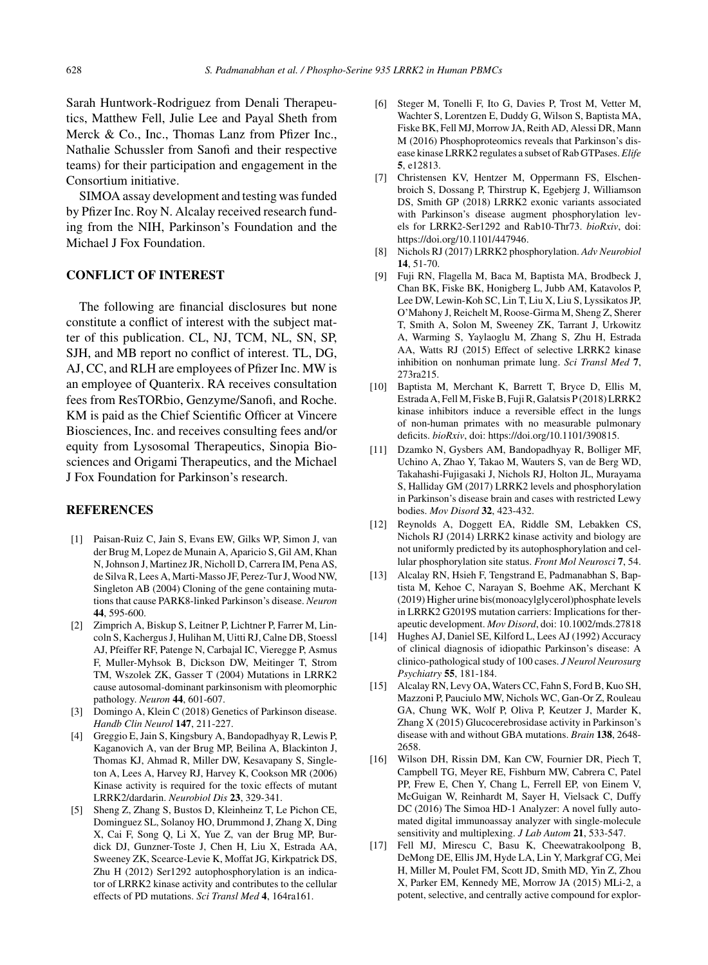Sarah Huntwork-Rodriguez from Denali Therapeutics, Matthew Fell, Julie Lee and Payal Sheth from Merck & Co., Inc., Thomas Lanz from Pfizer Inc., Nathalie Schussler from Sanofi and their respective teams) for their participation and engagement in the Consortium initiative.

SIMOA assay development and testing was funded by Pfizer Inc. Roy N. Alcalay received research funding from the NIH, Parkinson's Foundation and the Michael J Fox Foundation.

# **CONFLICT OF INTEREST**

The following are financial disclosures but none constitute a conflict of interest with the subject matter of this publication. CL, NJ, TCM, NL, SN, SP, SJH, and MB report no conflict of interest. TL, DG, AJ, CC, and RLH are employees of Pfizer Inc. MW is an employee of Quanterix. RA receives consultation fees from ResTORbio, Genzyme/Sanofi, and Roche. KM is paid as the Chief Scientific Officer at Vincere Biosciences, Inc. and receives consulting fees and/or equity from Lysosomal Therapeutics, Sinopia Biosciences and Origami Therapeutics, and the Michael J Fox Foundation for Parkinson's research.

## **REFERENCES**

- [1] Paisan-Ruiz C, Jain S, Evans EW, Gilks WP, Simon J, van der Brug M, Lopez de Munain A, Aparicio S, Gil AM, Khan N, Johnson J, Martinez JR, Nicholl D, Carrera IM, Pena AS, de Silva R, Lees A, Marti-Masso JF, Perez-Tur J, Wood NW, Singleton AB (2004) Cloning of the gene containing mutations that cause PARK8-linked Parkinson's disease. *Neuron* **44**, 595-600.
- [2] Zimprich A, Biskup S, Leitner P, Lichtner P, Farrer M, Lincoln S, Kachergus J, Hulihan M, Uitti RJ, Calne DB, Stoessl AJ, Pfeiffer RF, Patenge N, Carbajal IC, Vieregge P, Asmus F, Muller-Myhsok B, Dickson DW, Meitinger T, Strom TM, Wszolek ZK, Gasser T (2004) Mutations in LRRK2 cause autosomal-dominant parkinsonism with pleomorphic pathology. *Neuron* **44**, 601-607.
- [3] Domingo A, Klein C (2018) Genetics of Parkinson disease. *Handb Clin Neurol* **147**, 211-227.
- [4] Greggio E, Jain S, Kingsbury A, Bandopadhyay R, Lewis P, Kaganovich A, van der Brug MP, Beilina A, Blackinton J, Thomas KJ, Ahmad R, Miller DW, Kesavapany S, Singleton A, Lees A, Harvey RJ, Harvey K, Cookson MR (2006) Kinase activity is required for the toxic effects of mutant LRRK2/dardarin. *Neurobiol Dis* **23**, 329-341.
- [5] Sheng Z, Zhang S, Bustos D, Kleinheinz T, Le Pichon CE, Dominguez SL, Solanoy HO, Drummond J, Zhang X, Ding X, Cai F, Song Q, Li X, Yue Z, van der Brug MP, Burdick DJ, Gunzner-Toste J, Chen H, Liu X, Estrada AA, Sweeney ZK, Scearce-Levie K, Moffat JG, Kirkpatrick DS, Zhu H (2012) Ser1292 autophosphorylation is an indicator of LRRK2 kinase activity and contributes to the cellular effects of PD mutations. *Sci Transl Med* **4**, 164ra161.
- [6] Steger M, Tonelli F, Ito G, Davies P, Trost M, Vetter M, Wachter S, Lorentzen E, Duddy G, Wilson S, Baptista MA, Fiske BK, Fell MJ, Morrow JA, Reith AD, Alessi DR, Mann M (2016) Phosphoproteomics reveals that Parkinson's disease kinase LRRK2 regulates a subset of Rab GTPases. *Elife* **5**, e12813.
- [7] Christensen KV, Hentzer M, Oppermann FS, Elschenbroich S, Dossang P, Thirstrup K, Egebjerg J, Williamson DS, Smith GP (2018) LRRK2 exonic variants associated with Parkinson's disease augment phosphorylation levels for LRRK2-Ser1292 and Rab10-Thr73. *bioRxiv*, doi: [https://doi.org/10.1101/447946.](https://doi.org/10.1101/447946)
- [8] Nichols RJ (2017) LRRK2 phosphorylation. *Adv Neurobiol* **14**, 51-70.
- [9] Fuji RN, Flagella M, Baca M, Baptista MA, Brodbeck J, Chan BK, Fiske BK, Honigberg L, Jubb AM, Katavolos P, Lee DW, Lewin-Koh SC, Lin T, Liu X, Liu S, Lyssikatos JP, O'Mahony J, Reichelt M, Roose-Girma M, Sheng Z, Sherer T, Smith A, Solon M, Sweeney ZK, Tarrant J, Urkowitz A, Warming S, Yaylaoglu M, Zhang S, Zhu H, Estrada AA, Watts RJ (2015) Effect of selective LRRK2 kinase inhibition on nonhuman primate lung. *Sci Transl Med* **7**, 273ra215.
- [10] Baptista M, Merchant K, Barrett T, Bryce D, Ellis M, Estrada A, Fell M, Fiske B, Fuji R, Galatsis P (2018) LRRK2 kinase inhibitors induce a reversible effect in the lungs of non-human primates with no measurable pulmonary deficits. *bioRxiv*, doi: [https://doi.org/10.1101/390815.](https://doi.org/10.1101/390815)
- [11] Dzamko N, Gysbers AM, Bandopadhyay R, Bolliger MF, Uchino A, Zhao Y, Takao M, Wauters S, van de Berg WD, Takahashi-Fujigasaki J, Nichols RJ, Holton JL, Murayama S, Halliday GM (2017) LRRK2 levels and phosphorylation in Parkinson's disease brain and cases with restricted Lewy bodies. *Mov Disord* **32**, 423-432.
- [12] Reynolds A, Doggett EA, Riddle SM, Lebakken CS, Nichols RJ (2014) LRRK2 kinase activity and biology are not uniformly predicted by its autophosphorylation and cellular phosphorylation site status. *Front Mol Neurosci* **7**, 54.
- [13] Alcalay RN, Hsieh F, Tengstrand E, Padmanabhan S, Baptista M, Kehoe C, Narayan S, Boehme AK, Merchant K (2019) Higher urine bis(monoacylglycerol)phosphate levels in LRRK2 G2019S mutation carriers: Implications for therapeutic development. *Mov Disord*, doi: 10.1002/mds.27818
- [14] Hughes AJ, Daniel SE, Kilford L, Lees AJ (1992) Accuracy of clinical diagnosis of idiopathic Parkinson's disease: A clinico-pathological study of 100 cases. *J Neurol Neurosurg Psychiatry* **55**, 181-184.
- [15] Alcalay RN, Levy OA, Waters CC, Fahn S, Ford B, Kuo SH, Mazzoni P, Pauciulo MW, Nichols WC, Gan-Or Z, Rouleau GA, Chung WK, Wolf P, Oliva P, Keutzer J, Marder K, Zhang X (2015) Glucocerebrosidase activity in Parkinson's disease with and without GBA mutations. *Brain* **138**, 2648- 2658.
- [16] Wilson DH, Rissin DM, Kan CW, Fournier DR, Piech T, Campbell TG, Meyer RE, Fishburn MW, Cabrera C, Patel PP, Frew E, Chen Y, Chang L, Ferrell EP, von Einem V, McGuigan W, Reinhardt M, Sayer H, Vielsack C, Duffy DC (2016) The Simoa HD-1 Analyzer: A novel fully automated digital immunoassay analyzer with single-molecule sensitivity and multiplexing. *J Lab Autom* **21**, 533-547.
- [17] Fell MJ, Mirescu C, Basu K, Cheewatrakoolpong B, DeMong DE, Ellis JM, Hyde LA, Lin Y, Markgraf CG, Mei H, Miller M, Poulet FM, Scott JD, Smith MD, Yin Z, Zhou X, Parker EM, Kennedy ME, Morrow JA (2015) MLi-2, a potent, selective, and centrally active compound for explor-